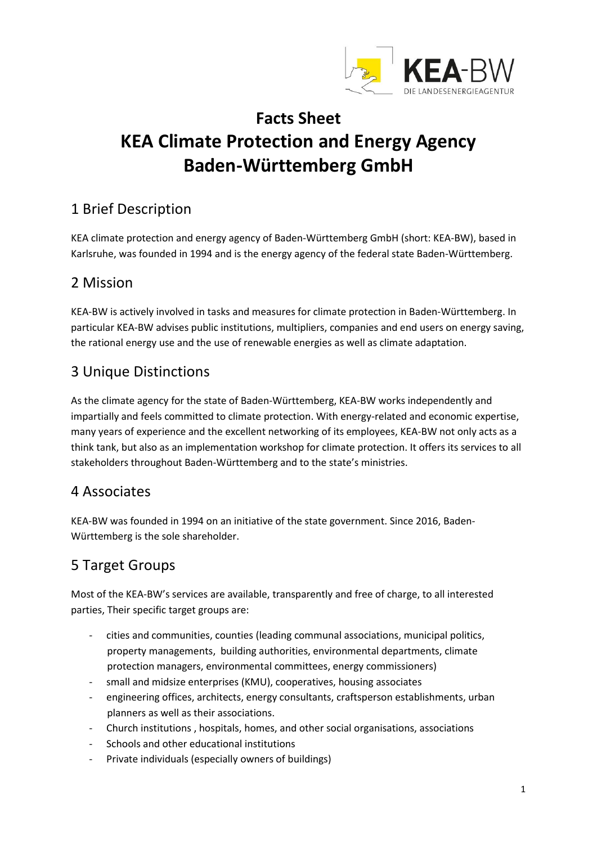

# **Facts Sheet KEA Climate Protection and Energy Agency Baden-Württemberg GmbH**

## 1 Brief Description

KEA climate protection and energy agency of Baden-Württemberg GmbH (short: KEA-BW), based in Karlsruhe, was founded in 1994 and is the energy agency of the federal state Baden-Württemberg.

#### 2 Mission

KEA-BW is actively involved in tasks and measures for climate protection in Baden-Württemberg. In particular KEA-BW advises public institutions, multipliers, companies and end users on energy saving, the rational energy use and the use of renewable energies as well as climate adaptation.

#### 3 Unique Distinctions

As the climate agency for the state of Baden-Württemberg, KEA-BW works independently and impartially and feels committed to climate protection. With energy-related and economic expertise, many years of experience and the excellent networking of its employees, KEA-BW not only acts as a think tank, but also as an implementation workshop for climate protection. It offers its services to all stakeholders throughout Baden-Württemberg and to the state's ministries.

#### 4 Associates

KEA-BW was founded in 1994 on an initiative of the state government. Since 2016, Baden-Württemberg is the sole shareholder.

## 5 Target Groups

Most of the KEA-BW's services are available, transparently and free of charge, to all interested parties, Their specific target groups are:

- cities and communities, counties (leading communal associations, municipal politics, property managements, building authorities, environmental departments, climate protection managers, environmental committees, energy commissioners)
- small and midsize enterprises (KMU), cooperatives, housing associates
- engineering offices, architects, energy consultants, craftsperson establishments, urban planners as well as their associations.
- Church institutions , hospitals, homes, and other social organisations, associations
- Schools and other educational institutions
- Private individuals (especially owners of buildings)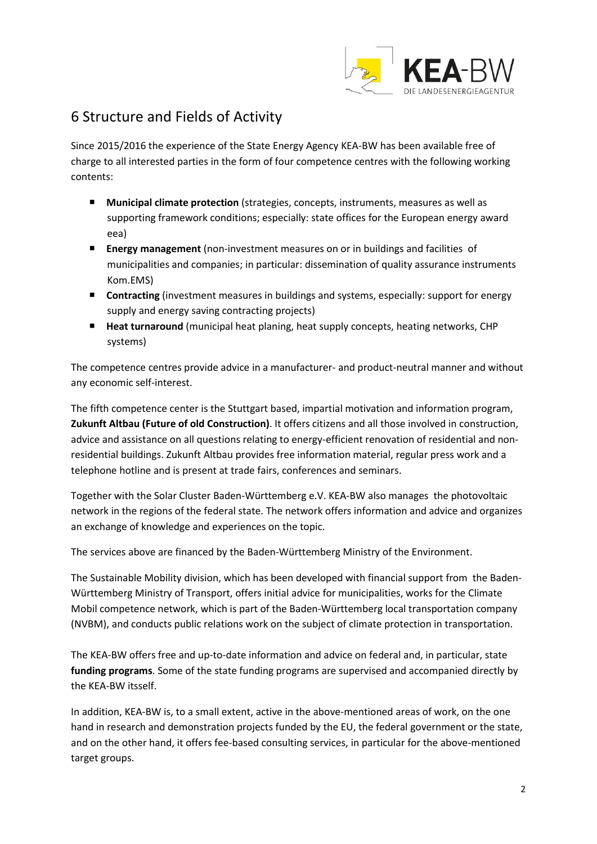

### 6 Structure and Fields of Activity

Since 2015/2016 the experience of the State Energy Agency KEA-BW has been available free of charge to all interested parties in the form of four competence centres with the following working contents:

- **Municipal climate protection** (strategies, concepts, instruments, measures as well as supporting framework conditions; especially: state offices for the European energy award eea)
- **Energy management** (non-investment measures on or in buildings and facilities of municipalities and companies; in particular: dissemination of quality assurance instruments Kom.EMS)
- **Contracting** (investment measures in buildings and systems, especially: support for energy supply and energy saving contracting projects)
- **Heat turnaround** (municipal heat planing, heat supply concepts, heating networks, CHP systems)

The competence centres provide advice in a manufacturer- and product-neutral manner and without any economic self-interest.

The fifth competence center is the Stuttgart based, impartial motivation and information program, **Zukunft Altbau (Future of old Construction)**. It offers citizens and all those involved in construction, advice and assistance on all questions relating to energy-efficient renovation of residential and nonresidential buildings. Zukunft Altbau provides free information material, regular press work and a telephone hotline and is present at trade fairs, conferences and seminars.

Together with the Solar Cluster Baden-Württemberg e.V. KEA-BW also manages the photovoltaic network in the regions of the federal state. The network offers information and advice and organizes an exchange of knowledge and experiences on the topic.

The services above are financed by the Baden-Württemberg Ministry of the Environment.

The Sustainable Mobility division, which has been developed with financial support from the Baden-Württemberg Ministry of Transport, offers initial advice for municipalities, works for the Climate Mobil competence network, which is part of the Baden-Württemberg local transportation company (NVBM), and conducts public relations work on the subject of climate protection in transportation.

The KEA-BW offers free and up-to-date information and advice on federal and, in particular, state **funding programs**. Some of the state funding programs are supervised and accompanied directly by the KEA-BW itsself.

In addition, KEA-BW is, to a small extent, active in the above-mentioned areas of work, on the one hand in research and demonstration projects funded by the EU, the federal government or the state, and on the other hand, it offers fee-based consulting services, in particular for the above-mentioned target groups.